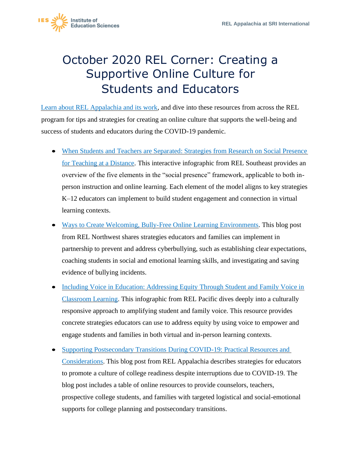

## October 2020 REL Corner: Creating a Supportive Online Culture for Students and Educators

 program for tips and strategies for creating an online culture that supports the well-being and [Learn about REL Appalachia and its work,](https://ies.ed.gov/ncee/edlabs/regions/appalachia/) and dive into these resources from across the REL success of students and educators during the COVID-19 pandemic.

- When Students and Teachers are Separated: Strategies from Research on Social Presence [for Teaching at a Distance.](https://ies.ed.gov/ncee/edlabs/infographics/pdf/REL_SE_When_Teachers_and_Students_are_Separated.pdf) This interactive infographic from REL Southeast provides an overview of the five elements in the "social presence" framework, applicable to both inperson instruction and online learning. Each element of the model aligns to key strategies K–12 educators can implement to build student engagement and connection in virtual learning contexts.
- [Ways to Create Welcoming, Bully-Free Online Learning Environments.](https://ies.ed.gov/ncee/edlabs/regions/northwest/blog/bully-free-online-learning.asp) This blog post from REL Northwest shares strategies educators and families can implement in partnership to prevent and address cyberbullying, such as establishing clear expectations, coaching students in social and emotional learning skills, and investigating and saving evidence of bullying incidents.
- Including Voice in Education: Addressing Equity Through Student and Family Voice in [Classroom Learning.](https://ies.ed.gov/ncee/edlabs/infographics/pdf/REL_PA_Including_Voice_in_Education_Addressing_Equity_Through_Student_and_Family_Voice_in_Classroom_Learning.pdf) This infographic from REL Pacific dives deeply into a culturally responsive approach to amplifying student and family voice. This resource provides concrete strategies educators can use to address equity by using voice to empower and engage students and families in both virtual and in-person learning contexts.
- Supporting Postsecondary Transitions During COVID-19: Practical Resources and [Considerations.](https://ies.ed.gov/ncee/edlabs/regions/appalachia/blogs/blog31_supporting-postsecondary-transitions-during-COVID-19.asp) This blog post from REL Appalachia describes strategies for educators to promote a culture of college readiness despite interruptions due to COVID-19. The blog post includes a table of online resources to provide counselors, teachers, prospective college students, and families with targeted logistical and social-emotional supports for college planning and postsecondary transitions.